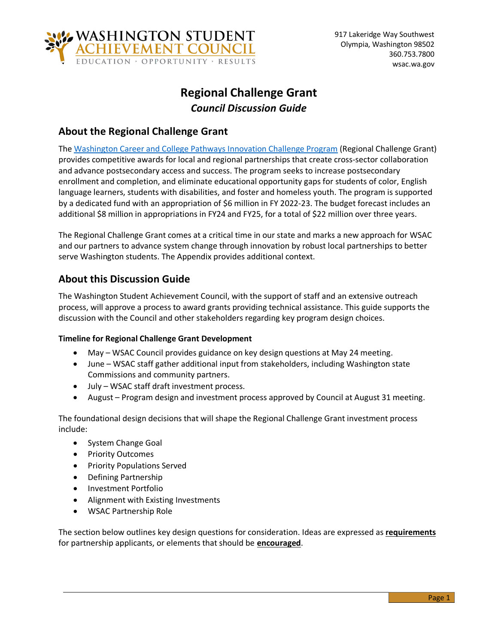

# **Regional Challenge Grant** *Council Discussion Guide*

# **About the Regional Challenge Grant**

The [Washington Career and College Pathways Innovation Challenge Program](https://lawfilesext.leg.wa.gov/biennium/2021-22/Pdf/Bills/Session%20Laws/Senate/5789-S2.SL.pdf#page=1) (Regional Challenge Grant) provides competitive awards for local and regional partnerships that create cross-sector collaboration and advance postsecondary access and success. The program seeks to increase postsecondary enrollment and completion, and eliminate educational opportunity gaps for students of color, English language learners, students with disabilities, and foster and homeless youth. The program is supported by a dedicated fund with an appropriation of \$6 million in FY 2022-23. The budget forecast includes an additional \$8 million in appropriations in FY24 and FY25, for a total of \$22 million over three years.

The Regional Challenge Grant comes at a critical time in our state and marks a new approach for WSAC and our partners to advance system change through innovation by robust local partnerships to better serve Washington students. The Appendix provides additional context.

# **About this Discussion Guide**

The Washington Student Achievement Council, with the support of staff and an extensive outreach process, will approve a process to award grants providing technical assistance. This guide supports the discussion with the Council and other stakeholders regarding key program design choices.

### **Timeline for Regional Challenge Grant Development**

- May WSAC Council provides guidance on key design questions at May 24 meeting.
- June WSAC staff gather additional input from stakeholders, including Washington state Commissions and community partners.
- July WSAC staff draft investment process.
- August Program design and investment process approved by Council at August 31 meeting.

The foundational design decisions that will shape the Regional Challenge Grant investment process include:

- System Change Goal
- Priority Outcomes
- Priority Populations Served
- Defining Partnership
- Investment Portfolio
- Alignment with Existing Investments
- WSAC Partnership Role

The section below outlines key design questions for consideration. Ideas are expressed as **requirements** for partnership applicants, or elements that should be **encouraged**.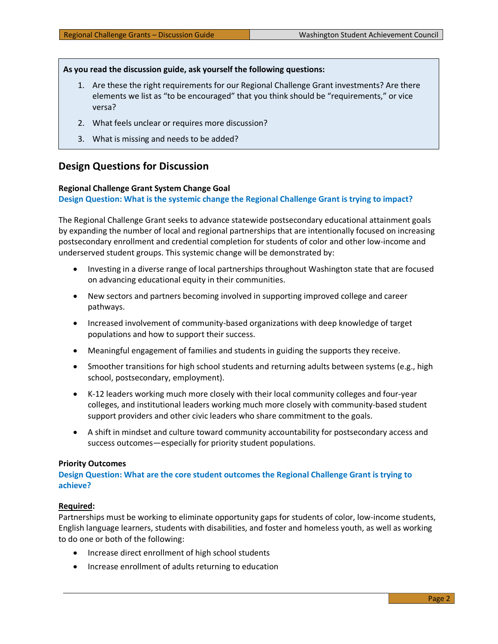#### **As you read the discussion guide, ask yourself the following questions:**

- 1. Are these the right requirements for our Regional Challenge Grant investments? Are there elements we list as "to be encouraged" that you think should be "requirements," or vice versa?
- 2. What feels unclear or requires more discussion?
- 3. What is missing and needs to be added?

### **Design Questions for Discussion**

#### **Regional Challenge Grant System Change Goal**

#### **Design Question: What is the systemic change the Regional Challenge Grant is trying to impact?**

The Regional Challenge Grant seeks to advance statewide postsecondary educational attainment goals by expanding the number of local and regional partnerships that are intentionally focused on increasing postsecondary enrollment and credential completion for students of color and other low-income and underserved student groups. This systemic change will be demonstrated by:

- Investing in a diverse range of local partnerships throughout Washington state that are focused on advancing educational equity in their communities.
- New sectors and partners becoming involved in supporting improved college and career pathways.
- Increased involvement of community-based organizations with deep knowledge of target populations and how to support their success.
- Meaningful engagement of families and students in guiding the supports they receive.
- Smoother transitions for high school students and returning adults between systems (e.g., high school, postsecondary, employment).
- K-12 leaders working much more closely with their local community colleges and four-year colleges, and institutional leaders working much more closely with community-based student support providers and other civic leaders who share commitment to the goals.
- A shift in mindset and culture toward community accountability for postsecondary access and success outcomes—especially for priority student populations.

#### **Priority Outcomes**

**Design Question: What are the core student outcomes the Regional Challenge Grant is trying to achieve?**

#### **Required:**

Partnerships must be working to eliminate opportunity gaps for students of color, low-income students, English language learners, students with disabilities, and foster and homeless youth, as well as working to do one or both of the following:

- Increase direct enrollment of high school students
- Increase enrollment of adults returning to education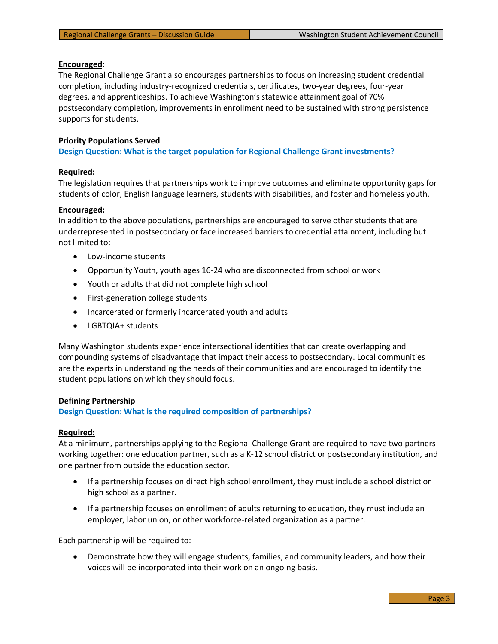#### **Encouraged:**

The Regional Challenge Grant also encourages partnerships to focus on increasing student credential completion, including industry-recognized credentials, certificates, two-year degrees, four-year degrees, and apprenticeships. To achieve Washington's statewide attainment goal of 70% postsecondary completion, improvements in enrollment need to be sustained with strong persistence supports for students.

#### **Priority Populations Served**

**Design Question: What is the target population for Regional Challenge Grant investments?**

#### **Required:**

The legislation requires that partnerships work to improve outcomes and eliminate opportunity gaps for students of color, English language learners, students with disabilities, and foster and homeless youth.

#### **Encouraged:**

In addition to the above populations, partnerships are encouraged to serve other students that are underrepresented in postsecondary or face increased barriers to credential attainment, including but not limited to:

- Low-income students
- Opportunity Youth, youth ages 16-24 who are disconnected from school or work
- Youth or adults that did not complete high school
- First-generation college students
- Incarcerated or formerly incarcerated youth and adults
- LGBTQIA+ students

Many Washington students experience intersectional identities that can create overlapping and compounding systems of disadvantage that impact their access to postsecondary. Local communities are the experts in understanding the needs of their communities and are encouraged to identify the student populations on which they should focus.

#### **Defining Partnership**

**Design Question: What is the required composition of partnerships?**

#### **Required:**

At a minimum, partnerships applying to the Regional Challenge Grant are required to have two partners working together: one education partner, such as a K-12 school district or postsecondary institution, and one partner from outside the education sector.

- If a partnership focuses on direct high school enrollment, they must include a school district or high school as a partner.
- If a partnership focuses on enrollment of adults returning to education, they must include an employer, labor union, or other workforce-related organization as a partner.

Each partnership will be required to:

• Demonstrate how they will engage students, families, and community leaders, and how their voices will be incorporated into their work on an ongoing basis.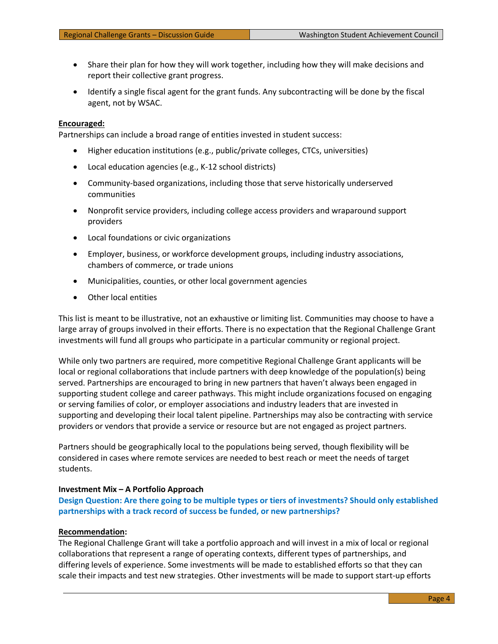- Share their plan for how they will work together, including how they will make decisions and report their collective grant progress.
- Identify a single fiscal agent for the grant funds. Any subcontracting will be done by the fiscal agent, not by WSAC.

#### **Encouraged:**

Partnerships can include a broad range of entities invested in student success:

- Higher education institutions (e.g., public/private colleges, CTCs, universities)
- Local education agencies (e.g., K-12 school districts)
- Community-based organizations, including those that serve historically underserved communities
- Nonprofit service providers, including college access providers and wraparound support providers
- Local foundations or civic organizations
- Employer, business, or workforce development groups, including industry associations, chambers of commerce, or trade unions
- Municipalities, counties, or other local government agencies
- Other local entities

This list is meant to be illustrative, not an exhaustive or limiting list. Communities may choose to have a large array of groups involved in their efforts. There is no expectation that the Regional Challenge Grant investments will fund all groups who participate in a particular community or regional project.

While only two partners are required, more competitive Regional Challenge Grant applicants will be local or regional collaborations that include partners with deep knowledge of the population(s) being served. Partnerships are encouraged to bring in new partners that haven't always been engaged in supporting student college and career pathways. This might include organizations focused on engaging or serving families of color, or employer associations and industry leaders that are invested in supporting and developing their local talent pipeline. Partnerships may also be contracting with service providers or vendors that provide a service or resource but are not engaged as project partners.

Partners should be geographically local to the populations being served, though flexibility will be considered in cases where remote services are needed to best reach or meet the needs of target students.

#### **Investment Mix – A Portfolio Approach**

**Design Question: Are there going to be multiple types or tiers of investments? Should only established partnerships with a track record of success be funded, or new partnerships?**

#### **Recommendation:**

The Regional Challenge Grant will take a portfolio approach and will invest in a mix of local or regional collaborations that represent a range of operating contexts, different types of partnerships, and differing levels of experience. Some investments will be made to established efforts so that they can scale their impacts and test new strategies. Other investments will be made to support start-up efforts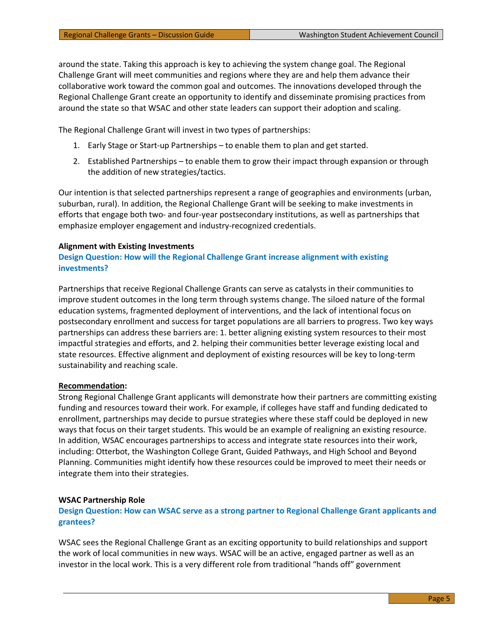around the state. Taking this approach is key to achieving the system change goal. The Regional Challenge Grant will meet communities and regions where they are and help them advance their collaborative work toward the common goal and outcomes. The innovations developed through the Regional Challenge Grant create an opportunity to identify and disseminate promising practices from around the state so that WSAC and other state leaders can support their adoption and scaling.

The Regional Challenge Grant will invest in two types of partnerships:

- 1. Early Stage or Start-up Partnerships to enable them to plan and get started.
- 2. Established Partnerships to enable them to grow their impact through expansion or through the addition of new strategies/tactics.

Our intention is that selected partnerships represent a range of geographies and environments (urban, suburban, rural). In addition, the Regional Challenge Grant will be seeking to make investments in efforts that engage both two- and four-year postsecondary institutions, as well as partnerships that emphasize employer engagement and industry-recognized credentials.

#### **Alignment with Existing Investments**

**Design Question: How will the Regional Challenge Grant increase alignment with existing investments?**

Partnerships that receive Regional Challenge Grants can serve as catalysts in their communities to improve student outcomes in the long term through systems change. The siloed nature of the formal education systems, fragmented deployment of interventions, and the lack of intentional focus on postsecondary enrollment and success for target populations are all barriers to progress. Two key ways partnerships can address these barriers are: 1. better aligning existing system resources to their most impactful strategies and efforts, and 2. helping their communities better leverage existing local and state resources. Effective alignment and deployment of existing resources will be key to long-term sustainability and reaching scale.

#### **Recommendation:**

Strong Regional Challenge Grant applicants will demonstrate how their partners are committing existing funding and resources toward their work. For example, if colleges have staff and funding dedicated to enrollment, partnerships may decide to pursue strategies where these staff could be deployed in new ways that focus on their target students. This would be an example of realigning an existing resource. In addition, WSAC encourages partnerships to access and integrate state resources into their work, including: Otterbot, the Washington College Grant, Guided Pathways, and High School and Beyond Planning. Communities might identify how these resources could be improved to meet their needs or integrate them into their strategies.

#### **WSAC Partnership Role**

**Design Question: How can WSAC serve as a strong partner to Regional Challenge Grant applicants and grantees?**

WSAC sees the Regional Challenge Grant as an exciting opportunity to build relationships and support the work of local communities in new ways. WSAC will be an active, engaged partner as well as an investor in the local work. This is a very different role from traditional "hands off" government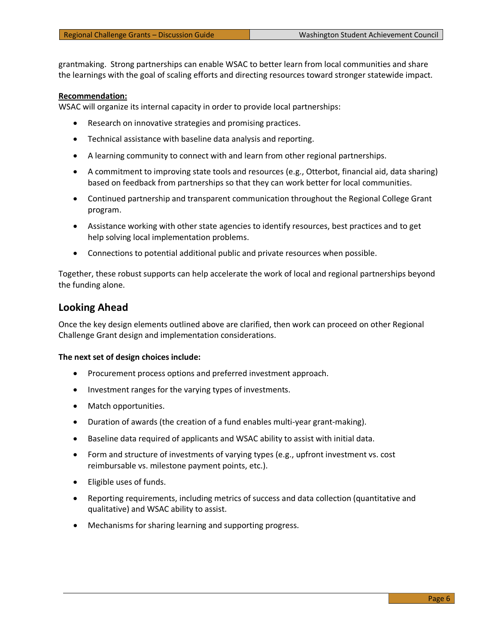grantmaking. Strong partnerships can enable WSAC to better learn from local communities and share the learnings with the goal of scaling efforts and directing resources toward stronger statewide impact.

#### **Recommendation:**

WSAC will organize its internal capacity in order to provide local partnerships:

- Research on innovative strategies and promising practices.
- Technical assistance with baseline data analysis and reporting.
- A learning community to connect with and learn from other regional partnerships.
- A commitment to improving state tools and resources (e.g., Otterbot, financial aid, data sharing) based on feedback from partnerships so that they can work better for local communities.
- Continued partnership and transparent communication throughout the Regional College Grant program.
- Assistance working with other state agencies to identify resources, best practices and to get help solving local implementation problems.
- Connections to potential additional public and private resources when possible.

Together, these robust supports can help accelerate the work of local and regional partnerships beyond the funding alone.

### **Looking Ahead**

Once the key design elements outlined above are clarified, then work can proceed on other Regional Challenge Grant design and implementation considerations.

#### **The next set of design choices include:**

- Procurement process options and preferred investment approach.
- Investment ranges for the varying types of investments.
- Match opportunities.
- Duration of awards (the creation of a fund enables multi-year grant-making).
- Baseline data required of applicants and WSAC ability to assist with initial data.
- Form and structure of investments of varying types (e.g., upfront investment vs. cost reimbursable vs. milestone payment points, etc.).
- Eligible uses of funds.
- Reporting requirements, including metrics of success and data collection (quantitative and qualitative) and WSAC ability to assist.
- Mechanisms for sharing learning and supporting progress.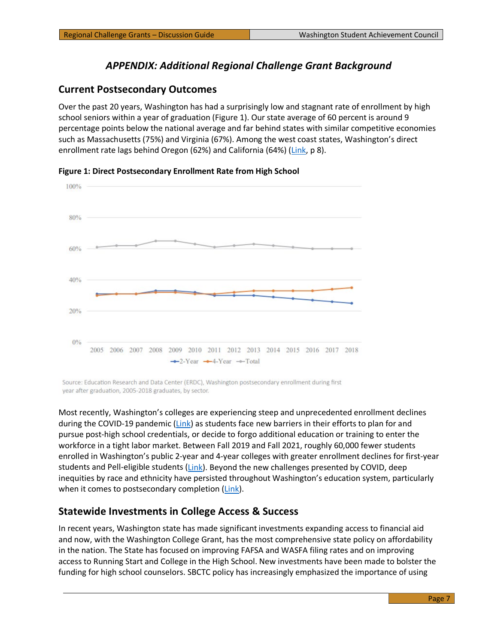# *APPENDIX: Additional Regional Challenge Grant Background*

### **Current Postsecondary Outcomes**

Over the past 20 years, Washington has had a surprisingly low and stagnant rate of enrollment by high school seniors within a year of graduation (Figure 1). Our state average of 60 percent is around 9 percentage points below the national average and far behind states with similar competitive economies such as Massachusetts (75%) and Virginia (67%). Among the west coast states, Washington's direct enrollment rate lags behind Oregon (62%) and California (64%) [\(Link,](https://wsac.wa.gov/sites/default/files/2021-Strategic-Action-Plan.pdf) p 8).





Source: Education Research and Data Center (ERDC), Washington postsecondary enrollment during first year after graduation, 2005-2018 graduates, by sector.

Most recently, Washington's colleges are experiencing steep and unprecedented enrollment declines during the COVID-19 pandemic [\(Link\)](https://wsac.wa.gov/sites/default/files/2021-01-12-Fall-Enrollment-Report.pdf) as students face new barriers in their efforts to plan for and pursue post-high school credentials, or decide to forgo additional education or training to enter the workforce in a tight labor market. Between Fall 2019 and Fall 2021, roughly 60,000 fewer students enrolled in Washington's public 2-year and 4-year colleges with greater enrollment declines for first-year students and Pell-eligible students  $(Link)$ . Beyond the new challenges presented by COVID, deep inequities by race and ethnicity have persisted throughout Washington's education system, particularly when it comes to postsecondary completion  $(Link)$ .

# **Statewide Investments in College Access & Success**

In recent years, Washington state has made significant investments expanding access to financial aid and now, with the Washington College Grant, has the most comprehensive state policy on affordability in the nation. The State has focused on improving FAFSA and WASFA filing rates and on improving access to Running Start and College in the High School. New investments have been made to bolster the funding for high school counselors. SBCTC policy has increasingly emphasized the importance of using